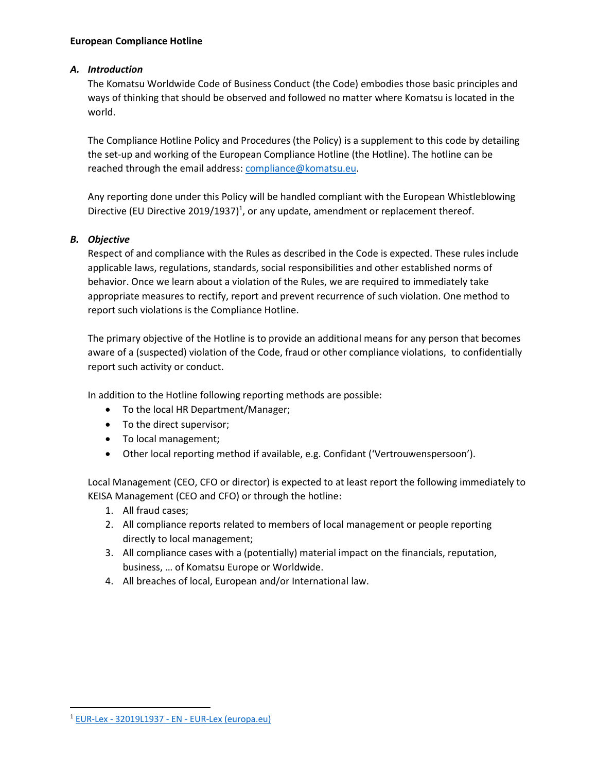#### **European Compliance Hotline**

#### *A. Introduction*

The Komatsu Worldwide Code of Business Conduct (the Code) embodies those basic principles and ways of thinking that should be observed and followed no matter where Komatsu is located in the world.

The Compliance Hotline Policy and Procedures (the Policy) is a supplement to this code by detailing the set-up and working of the European Compliance Hotline (the Hotline). The hotline can be reached through the email address[: compliance@komatsu.eu.](mailto:compliance@komatsu.eu)

Any reporting done under this Policy will be handled compliant with the European Whistleblowing Directive (EU Directive 2019/1937)<sup>1</sup>, or any update, amendment or replacement thereof.

#### *B. Objective*

Respect of and compliance with the Rules as described in the Code is expected. These rules include applicable laws, regulations, standards, social responsibilities and other established norms of behavior. Once we learn about a violation of the Rules, we are required to immediately take appropriate measures to rectify, report and prevent recurrence of such violation. One method to report such violations is the Compliance Hotline.

The primary objective of the Hotline is to provide an additional means for any person that becomes aware of a (suspected) violation of the Code, fraud or other compliance violations, to confidentially report such activity or conduct.

In addition to the Hotline following reporting methods are possible:

- To the local HR Department/Manager;
- To the direct supervisor;
- To local management;
- Other local reporting method if available, e.g. Confidant ('Vertrouwenspersoon').

Local Management (CEO, CFO or director) is expected to at least report the following immediately to KEISA Management (CEO and CFO) or through the hotline:

- 1. All fraud cases;
- 2. All compliance reports related to members of local management or people reporting directly to local management;
- 3. All compliance cases with a (potentially) material impact on the financials, reputation, business, … of Komatsu Europe or Worldwide.
- 4. All breaches of local, European and/or International law.

<sup>1</sup> EUR-Lex - 32019L1937 - EN - [EUR-Lex \(europa.eu\)](https://eur-lex.europa.eu/legal-content/EN/TXT/?uri=CELEX:32019L1937)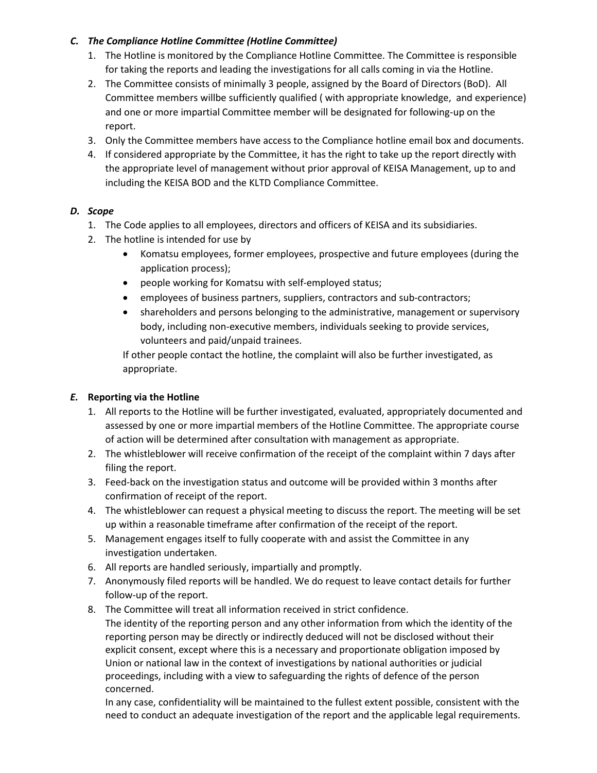#### *C. The Compliance Hotline Committee (Hotline Committee)*

- 1. The Hotline is monitored by the Compliance Hotline Committee. The Committee is responsible for taking the reports and leading the investigations for all calls coming in via the Hotline.
- 2. The Committee consists of minimally 3 people, assigned by the Board of Directors (BoD). All Committee members willbe sufficiently qualified ( with appropriate knowledge, and experience) and one or more impartial Committee member will be designated for following-up on the report.
- 3. Only the Committee members have access to the Compliance hotline email box and documents.
- 4. If considered appropriate by the Committee, it has the right to take up the report directly with the appropriate level of management without prior approval of KEISA Management, up to and including the KEISA BOD and the KLTD Compliance Committee.

# *D. Scope*

- 1. The Code applies to all employees, directors and officers of KEISA and its subsidiaries.
- 2. The hotline is intended for use by
	- Komatsu employees, former employees, prospective and future employees (during the application process);
	- people working for Komatsu with self-employed status;
	- employees of business partners, suppliers, contractors and sub-contractors;
	- shareholders and persons belonging to the administrative, management or supervisory body, including non-executive members, individuals seeking to provide services, volunteers and paid/unpaid trainees.

If other people contact the hotline, the complaint will also be further investigated, as appropriate.

# *E.* **Reporting via the Hotline**

- 1. All reports to the Hotline will be further investigated, evaluated, appropriately documented and assessed by one or more impartial members of the Hotline Committee. The appropriate course of action will be determined after consultation with management as appropriate.
- 2. The whistleblower will receive confirmation of the receipt of the complaint within 7 days after filing the report.
- 3. Feed-back on the investigation status and outcome will be provided within 3 months after confirmation of receipt of the report.
- 4. The whistleblower can request a physical meeting to discuss the report. The meeting will be set up within a reasonable timeframe after confirmation of the receipt of the report.
- 5. Management engages itself to fully cooperate with and assist the Committee in any investigation undertaken.
- 6. All reports are handled seriously, impartially and promptly.
- 7. Anonymously filed reports will be handled. We do request to leave contact details for further follow-up of the report.
- 8. The Committee will treat all information received in strict confidence.

The identity of the reporting person and any other information from which the identity of the reporting person may be directly or indirectly deduced will not be disclosed without their explicit consent, except where this is a necessary and proportionate obligation imposed by Union or national law in the context of investigations by national authorities or judicial proceedings, including with a view to safeguarding the rights of defence of the person concerned.

In any case, confidentiality will be maintained to the fullest extent possible, consistent with the need to conduct an adequate investigation of the report and the applicable legal requirements.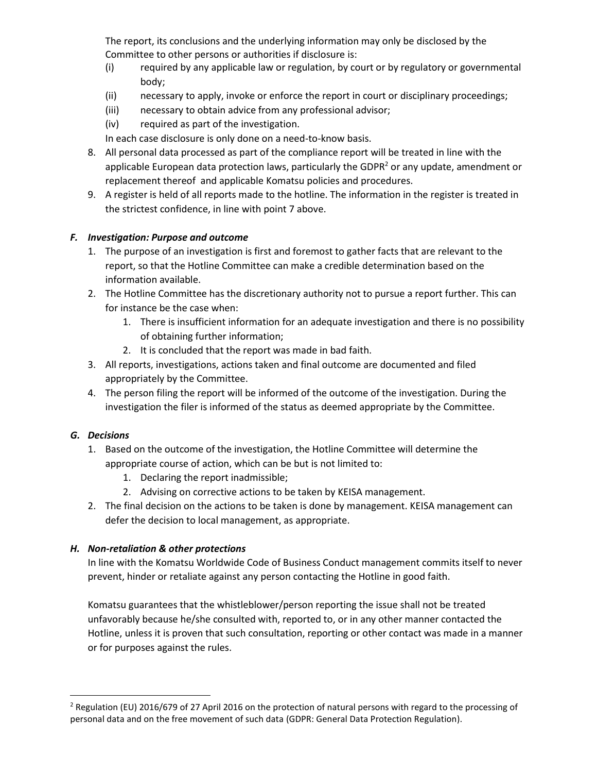The report, its conclusions and the underlying information may only be disclosed by the Committee to other persons or authorities if disclosure is:

- (i) required by any applicable law or regulation, by court or by regulatory or governmental body;
- (ii) necessary to apply, invoke or enforce the report in court or disciplinary proceedings;
- (iii) necessary to obtain advice from any professional advisor;
- (iv) required as part of the investigation.

In each case disclosure is only done on a need-to-know basis.

- 8. All personal data processed as part of the compliance report will be treated in line with the applicable European data protection laws, particularly the GDPR $<sup>2</sup>$  or any update, amendment or</sup> replacement thereof and applicable Komatsu policies and procedures.
- 9. A register is held of all reports made to the hotline. The information in the register is treated in the strictest confidence, in line with point 7 above.

### *F. Investigation: Purpose and outcome*

- 1. The purpose of an investigation is first and foremost to gather facts that are relevant to the report, so that the Hotline Committee can make a credible determination based on the information available.
- 2. The Hotline Committee has the discretionary authority not to pursue a report further. This can for instance be the case when:
	- 1. There is insufficient information for an adequate investigation and there is no possibility of obtaining further information;
	- 2. It is concluded that the report was made in bad faith.
- 3. All reports, investigations, actions taken and final outcome are documented and filed appropriately by the Committee.
- 4. The person filing the report will be informed of the outcome of the investigation. During the investigation the filer is informed of the status as deemed appropriate by the Committee.

# *G. Decisions*

- 1. Based on the outcome of the investigation, the Hotline Committee will determine the appropriate course of action, which can be but is not limited to:
	- 1. Declaring the report inadmissible;
	- 2. Advising on corrective actions to be taken by KEISA management.
- 2. The final decision on the actions to be taken is done by management. KEISA management can defer the decision to local management, as appropriate.

# *H. Non-retaliation & other protections*

In line with the Komatsu Worldwide Code of Business Conduct management commits itself to never prevent, hinder or retaliate against any person contacting the Hotline in good faith.

Komatsu guarantees that the whistleblower/person reporting the issue shall not be treated unfavorably because he/she consulted with, reported to, or in any other manner contacted the Hotline, unless it is proven that such consultation, reporting or other contact was made in a manner or for purposes against the rules.

<sup>&</sup>lt;sup>2</sup> Regulation (EU) 2016/679 of 27 April 2016 on the protection of natural persons with regard to the processing of personal data and on the free movement of such data (GDPR: General Data Protection Regulation).